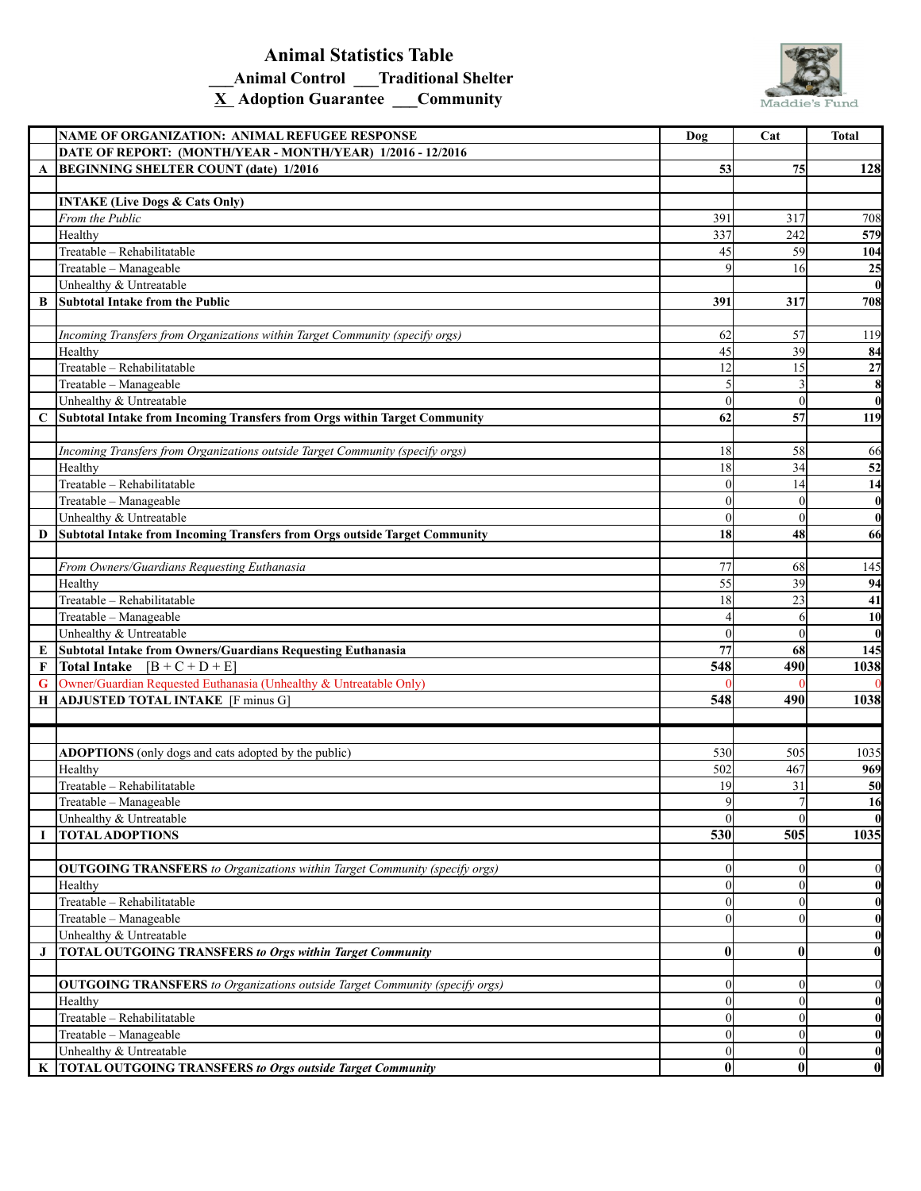## **Animal Statistics Table \_\_\_Animal Control \_\_\_Traditional Shelter X Adoption Guarantee \_\_\_Community**



|          | NAME OF ORGANIZATION: ANIMAL REFUGEE RESPONSE                                      | Dog              | Cat      | Total            |
|----------|------------------------------------------------------------------------------------|------------------|----------|------------------|
|          | DATE OF REPORT: (MONTH/YEAR - MONTH/YEAR) 1/2016 - 12/2016                         |                  |          |                  |
| A        | <b>BEGINNING SHELTER COUNT (date) 1/2016</b>                                       | 53               | 75       | 128              |
|          |                                                                                    |                  |          |                  |
|          | <b>INTAKE (Live Dogs &amp; Cats Only)</b>                                          |                  |          |                  |
|          | From the Public                                                                    | 391              | 317      | 708              |
|          | Healthy                                                                            | 337              | 242      | 579              |
|          | Treatable - Rehabilitatable                                                        | 45               | 59       | 104              |
|          | Treatable - Manageable                                                             | $\overline{Q}$   | 16       | 25               |
|          | Unhealthy & Untreatable                                                            |                  |          | $\bf{0}$         |
| B        | Subtotal Intake from the Public                                                    | 391              | 317      | 708              |
|          |                                                                                    |                  |          |                  |
|          | Incoming Transfers from Organizations within Target Community (specify orgs)       | 62               | 57       | 119              |
|          | Healthy                                                                            | 45               | 39       | 84               |
|          | Treatable - Rehabilitatable                                                        | 12               | 15       | 27               |
|          | Treatable - Manageable                                                             |                  |          | 8                |
|          | Unhealthy & Untreatable                                                            | $\Omega$         | $\theta$ | $\bf{0}$         |
| C        | Subtotal Intake from Incoming Transfers from Orgs within Target Community          | 62               | 57       | 119              |
|          |                                                                                    |                  |          |                  |
|          | Incoming Transfers from Organizations outside Target Community (specify orgs)      | 18               | 58       | 66               |
|          | Healthy                                                                            | 18               | 34       | 52               |
|          | Treatable - Rehabilitatable                                                        | $\Omega$         | 14       | 14               |
|          | Treatable - Manageable                                                             | $\Omega$         | $\theta$ | $\boldsymbol{0}$ |
|          | Unhealthy & Untreatable                                                            | $\Omega$         | $\theta$ | $\bf{0}$         |
| D        | Subtotal Intake from Incoming Transfers from Orgs outside Target Community         | 18               | 48       | 66               |
|          |                                                                                    |                  |          |                  |
|          | From Owners/Guardians Requesting Euthanasia                                        | 77               | 68       | 145              |
|          | Healthy                                                                            | 55               | 39       | 94               |
|          | Treatable - Rehabilitatable                                                        | 18               | 23       | 41               |
|          | Treatable - Manageable                                                             |                  | 6        | 10               |
|          | Unhealthy & Untreatable                                                            | $\Omega$         | $\theta$ | $\bf{0}$         |
| E        | Subtotal Intake from Owners/Guardians Requesting Euthanasia                        | 77               | 68       | 145              |
| F        | Total Intake $[B + C + D + E]$                                                     | $\overline{548}$ | 490      | 1038             |
| G        | Owner/Guardian Requested Euthanasia (Unhealthy & Untreatable Only)                 |                  |          |                  |
| Н        | <b>ADJUSTED TOTAL INTAKE</b> [F minus G]                                           | 548              | 490      | 1038             |
|          |                                                                                    |                  |          |                  |
|          |                                                                                    |                  |          |                  |
|          | ADOPTIONS (only dogs and cats adopted by the public)                               | 530              | 505      | 1035             |
|          | Healthy                                                                            | 502              | 467      | 969              |
|          | Treatable - Rehabilitatable                                                        | 19               | 31       | 50               |
|          | Treatable - Manageable                                                             | Я                |          | 16               |
|          | Unhealthy & Untreatable                                                            | $\Omega$         | $\theta$ | $\bf{0}$         |
| $\bf{I}$ | <b>TOTAL ADOPTIONS</b>                                                             | 530              | 505      | 1035             |
|          |                                                                                    |                  |          |                  |
|          | <b>OUTGOING TRANSFERS</b> to Organizations within Target Community (specify orgs)  | $\Omega$         | $\theta$ | $\bf{0}$         |
|          | Healthy                                                                            | $\overline{0}$   | $\theta$ | $\bf{0}$         |
|          | Treatable - Rehabilitatable                                                        | $\Omega$         | $\Omega$ | $\bf{0}$         |
|          | Treatable - Manageable                                                             | $\Omega$         | $\Omega$ |                  |
|          | Unhealthy & Untreatable                                                            |                  |          | $\bf{0}$         |
|          |                                                                                    |                  |          | $\bf{0}$         |
| J        | <b>TOTAL OUTGOING TRANSFERS to Orgs within Target Community</b>                    | $\bf{0}$         | $\bf{0}$ | $\boldsymbol{0}$ |
|          |                                                                                    |                  |          |                  |
|          | <b>OUTGOING TRANSFERS</b> to Organizations outside Target Community (specify orgs) | $\overline{0}$   | $\theta$ | $\bf{0}$         |
|          | Healthy                                                                            | $\Omega$         | $\theta$ | $\boldsymbol{0}$ |
|          | Treatable - Rehabilitatable                                                        | $\overline{0}$   | $\theta$ | $\bf{0}$         |
|          | Treatable - Manageable                                                             | $\Omega$         | $\theta$ | $\bf{0}$         |
|          | Unhealthy & Untreatable                                                            | $\overline{0}$   | $\theta$ | $\bf{0}$         |
| K        | <b>TOTAL OUTGOING TRANSFERS to Orgs outside Target Community</b>                   | $\bf{0}$         | $\bf{0}$ | $\boldsymbol{0}$ |